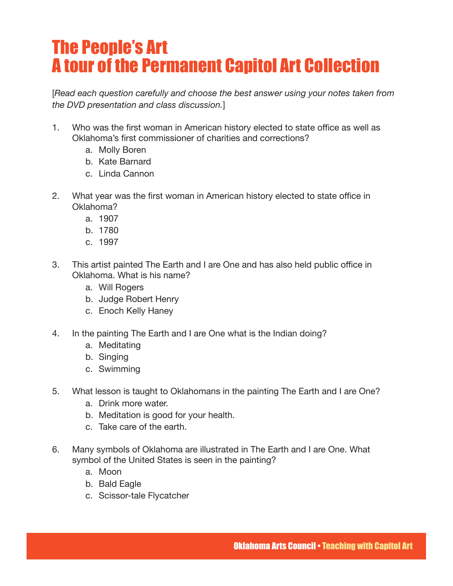## The People's Art A tour of the Permanent Capitol Art Collection

[*Read each question carefully and choose the best answer using your notes taken from the DVD presentation and class discussion.*]

- 1. Who was the first woman in American history elected to state office as well as Oklahoma's first commissioner of charities and corrections?
	- a. Molly Boren
	- b. Kate Barnard
	- c. Linda Cannon
- 2. What year was the first woman in American history elected to state office in Oklahoma?
	- a. 1907
	- b. 1780
	- c. 1997
- 3. This artist painted The Earth and I are One and has also held public office in Oklahoma. What is his name?
	- a. Will Rogers
	- b. Judge Robert Henry
	- c. Enoch Kelly Haney
- 4. In the painting The Earth and I are One what is the Indian doing?
	- a. Meditating
	- b. Singing
	- c. Swimming
- 5. What lesson is taught to Oklahomans in the painting The Earth and I are One?
	- a. Drink more water.
	- b. Meditation is good for your health.
	- c. Take care of the earth.
- 6. Many symbols of Oklahoma are illustrated in The Earth and I are One. What symbol of the United States is seen in the painting?
	- a. Moon
	- b. Bald Eagle
	- c. Scissor-tale Flycatcher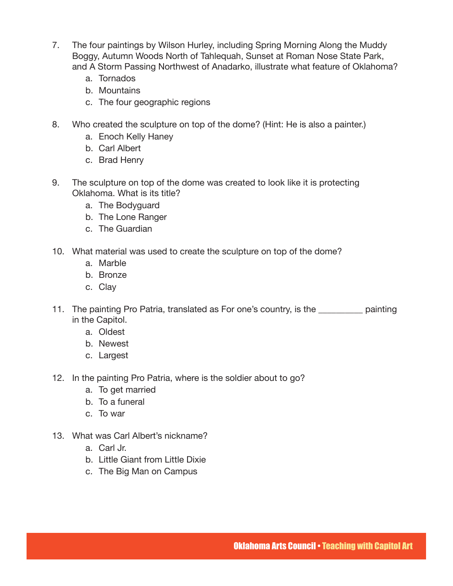- 7. The four paintings by Wilson Hurley, including Spring Morning Along the Muddy Boggy, Autumn Woods North of Tahlequah, Sunset at Roman Nose State Park, and A Storm Passing Northwest of Anadarko, illustrate what feature of Oklahoma?
	- a. Tornados
	- b. Mountains
	- c. The four geographic regions
- 8. Who created the sculpture on top of the dome? (Hint: He is also a painter.)
	- a. Enoch Kelly Haney
	- b. Carl Albert
	- c. Brad Henry
- 9. The sculpture on top of the dome was created to look like it is protecting Oklahoma. What is its title?
	- a. The Bodyguard
	- b. The Lone Ranger
	- c. The Guardian
- 10. What material was used to create the sculpture on top of the dome?
	- a. Marble
	- b. Bronze
	- c. Clay
- 11. The painting Pro Patria, translated as For one's country, is the painting in the Capitol.
	- a. Oldest
	- b. Newest
	- c. Largest
- 12. In the painting Pro Patria, where is the soldier about to go?
	- a. To get married
	- b. To a funeral
	- c. To war
- 13. What was Carl Albert's nickname?
	- a. Carl Jr.
	- b. Little Giant from Little Dixie
	- c. The Big Man on Campus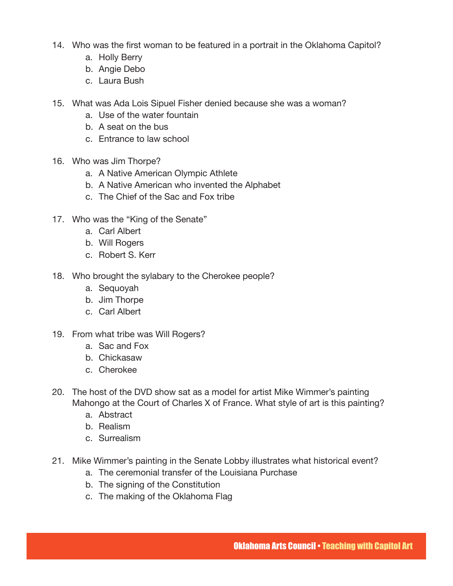- 14. Who was the first woman to be featured in a portrait in the Oklahoma Capitol?
	- a. Holly Berry
	- b. Angie Debo
	- c. Laura Bush
- 15. What was Ada Lois Sipuel Fisher denied because she was a woman?
	- a. Use of the water fountain
	- b. A seat on the bus
	- c. Entrance to law school
- 16. Who was Jim Thorpe?
	- a. A Native American Olympic Athlete
	- b. A Native American who invented the Alphabet
	- c. The Chief of the Sac and Fox tribe
- 17. Who was the "King of the Senate"
	- a. Carl Albert
	- b. Will Rogers
	- c. Robert S. Kerr
- 18. Who brought the sylabary to the Cherokee people?
	- a. Sequoyah
	- b. Jim Thorpe
	- c. Carl Albert
- 19. From what tribe was Will Rogers?
	- a. Sac and Fox
	- b. Chickasaw
	- c. Cherokee
- 20. The host of the DVD show sat as a model for artist Mike Wimmer's painting Mahongo at the Court of Charles X of France. What style of art is this painting?
	- a. Abstract
	- b. Realism
	- c. Surrealism
- 21. Mike Wimmer's painting in the Senate Lobby illustrates what historical event?
	- a. The ceremonial transfer of the Louisiana Purchase
	- b. The signing of the Constitution
	- c. The making of the Oklahoma Flag